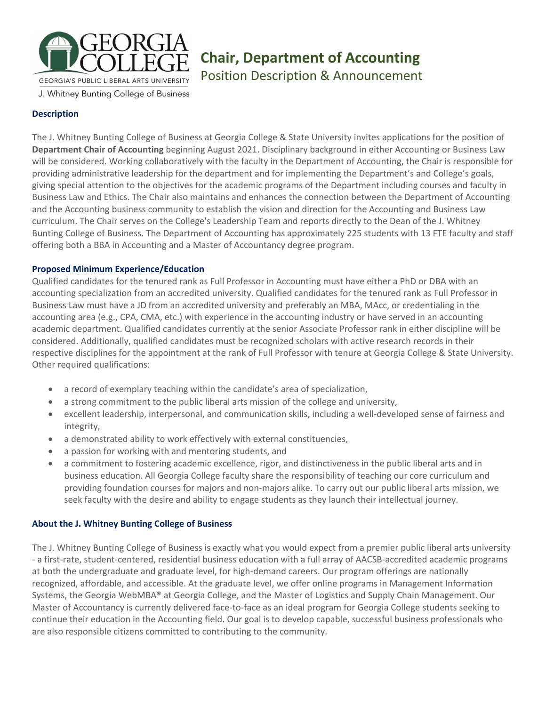

# **Chair, Department of Accounting**

Position Description & Announcement

## J. Whitney Bunting College of Business

## **Description**

The J. Whitney Bunting College of Business at Georgia College & State University invites applications for the position of **Department Chair of Accounting** beginning August 2021. Disciplinary background in either Accounting or Business Law will be considered. Working collaboratively with the faculty in the Department of Accounting, the Chair is responsible for providing administrative leadership for the department and for implementing the Department's and College's goals, giving special attention to the objectives for the academic programs of the Department including courses and faculty in Business Law and Ethics. The Chair also maintains and enhances the connection between the Department of Accounting and the Accounting business community to establish the vision and direction for the Accounting and Business Law curriculum. The Chair serves on the College's Leadership Team and reports directly to the Dean of the J. Whitney Bunting College of Business. The Department of Accounting has approximately 225 students with 13 FTE faculty and staff offering both a BBA in Accounting and a Master of Accountancy degree program.

#### **Proposed Minimum Experience/Education**

Qualified candidates for the tenured rank as Full Professor in Accounting must have either a PhD or DBA with an accounting specialization from an accredited university. Qualified candidates for the tenured rank as Full Professor in Business Law must have a JD from an accredited university and preferably an MBA, MAcc, or credentialing in the accounting area (e.g., CPA, CMA, etc.) with experience in the accounting industry or have served in an accounting academic department. Qualified candidates currently at the senior Associate Professor rank in either discipline will be considered. Additionally, qualified candidates must be recognized scholars with active research records in their respective disciplines for the appointment at the rank of Full Professor with tenure at Georgia College & State University. Other required qualifications:

- a record of exemplary teaching within the candidate's area of specialization,
- a strong commitment to the public liberal arts mission of the college and university,
- excellent leadership, interpersonal, and communication skills, including a well-developed sense of fairness and integrity,
- a demonstrated ability to work effectively with external constituencies,
- a passion for working with and mentoring students, and
- a commitment to fostering academic excellence, rigor, and distinctiveness in the public liberal arts and in business education. All Georgia College faculty share the responsibility of teaching our core curriculum and providing foundation courses for majors and non-majors alike. To carry out our public liberal arts mission, we seek faculty with the desire and ability to engage students as they launch their intellectual journey.

### **About the J. Whitney Bunting College of Business**

The J. Whitney Bunting College of Business is exactly what you would expect from a premier public liberal arts university - a first-rate, student-centered, residential business education with a full array of AACSB-accredited academic programs at both the undergraduate and graduate level, for high-demand careers. Our program offerings are nationally recognized, affordable, and accessible. At the graduate level, we offer online programs in Management Information Systems, the Georgia WebMBA® at Georgia College, and the Master of Logistics and Supply Chain Management. Our Master of Accountancy is currently delivered face-to-face as an ideal program for Georgia College students seeking to continue their education in the Accounting field. Our goal is to develop capable, successful business professionals who are also responsible citizens committed to contributing to the community.